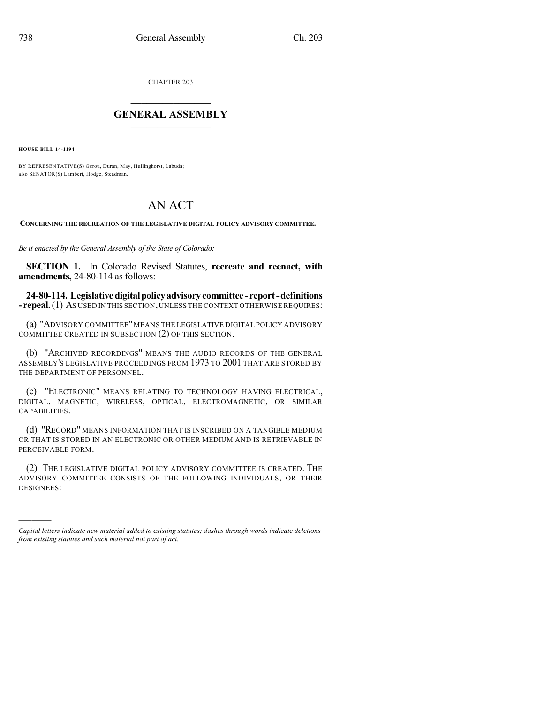CHAPTER 203

## $\overline{\phantom{a}}$  . The set of the set of the set of the set of the set of the set of the set of the set of the set of the set of the set of the set of the set of the set of the set of the set of the set of the set of the set o **GENERAL ASSEMBLY**  $\frac{1}{\sqrt{2}}$

**HOUSE BILL 14-1194**

)))))

BY REPRESENTATIVE(S) Gerou, Duran, May, Hullinghorst, Labuda; also SENATOR(S) Lambert, Hodge, Steadman.

## AN ACT

**CONCERNING THE RECREATION OF THE LEGISLATIVE DIGITAL POLICY ADVISORY COMMITTEE.**

*Be it enacted by the General Assembly of the State of Colorado:*

**SECTION 1.** In Colorado Revised Statutes, **recreate and reenact, with amendments,** 24-80-114 as follows:

**24-80-114. Legislativedigitalpolicyadvisorycommittee - report-definitions - repeal.**(1) AS USED IN THIS SECTION,UNLESS THE CONTEXT OTHERWISE REQUIRES:

(a) "ADVISORY COMMITTEE"MEANS THE LEGISLATIVE DIGITAL POLICY ADVISORY COMMITTEE CREATED IN SUBSECTION (2) OF THIS SECTION.

(b) "ARCHIVED RECORDINGS" MEANS THE AUDIO RECORDS OF THE GENERAL ASSEMBLY'S LEGISLATIVE PROCEEDINGS FROM 1973 TO 2001 THAT ARE STORED BY THE DEPARTMENT OF PERSONNEL.

(c) "ELECTRONIC" MEANS RELATING TO TECHNOLOGY HAVING ELECTRICAL, DIGITAL, MAGNETIC, WIRELESS, OPTICAL, ELECTROMAGNETIC, OR SIMILAR CAPABILITIES.

(d) "RECORD" MEANS INFORMATION THAT IS INSCRIBED ON A TANGIBLE MEDIUM OR THAT IS STORED IN AN ELECTRONIC OR OTHER MEDIUM AND IS RETRIEVABLE IN PERCEIVABLE FORM.

(2) THE LEGISLATIVE DIGITAL POLICY ADVISORY COMMITTEE IS CREATED. THE ADVISORY COMMITTEE CONSISTS OF THE FOLLOWING INDIVIDUALS, OR THEIR DESIGNEES:

*Capital letters indicate new material added to existing statutes; dashes through words indicate deletions from existing statutes and such material not part of act.*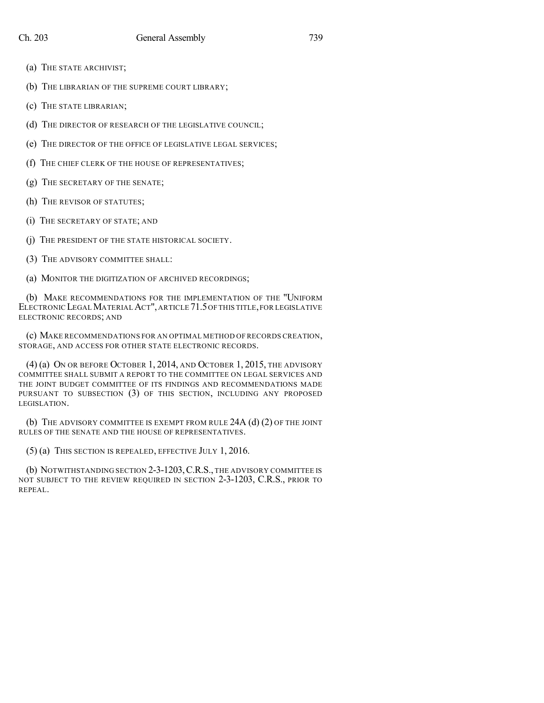- (a) THE STATE ARCHIVIST;
- (b) THE LIBRARIAN OF THE SUPREME COURT LIBRARY;
- (c) THE STATE LIBRARIAN;
- (d) THE DIRECTOR OF RESEARCH OF THE LEGISLATIVE COUNCIL;
- (e) THE DIRECTOR OF THE OFFICE OF LEGISLATIVE LEGAL SERVICES;
- (f) THE CHIEF CLERK OF THE HOUSE OF REPRESENTATIVES;
- (g) THE SECRETARY OF THE SENATE;
- (h) THE REVISOR OF STATUTES;
- (i) THE SECRETARY OF STATE; AND
- (j) THE PRESIDENT OF THE STATE HISTORICAL SOCIETY.
- (3) THE ADVISORY COMMITTEE SHALL:
- (a) MONITOR THE DIGITIZATION OF ARCHIVED RECORDINGS;

(b) MAKE RECOMMENDATIONS FOR THE IMPLEMENTATION OF THE "UNIFORM ELECTRONIC LEGALMATERIALACT", ARTICLE 71.5OF THIS TITLE,FOR LEGISLATIVE ELECTRONIC RECORDS; AND

(c) MAKE RECOMMENDATIONS FOR AN OPTIMAL METHOD OF RECORDS CREATION, STORAGE, AND ACCESS FOR OTHER STATE ELECTRONIC RECORDS.

(4) (a) ON OR BEFORE OCTOBER 1, 2014, AND OCTOBER 1, 2015, THE ADVISORY COMMITTEE SHALL SUBMIT A REPORT TO THE COMMITTEE ON LEGAL SERVICES AND THE JOINT BUDGET COMMITTEE OF ITS FINDINGS AND RECOMMENDATIONS MADE PURSUANT TO SUBSECTION (3) OF THIS SECTION, INCLUDING ANY PROPOSED LEGISLATION.

(b) THE ADVISORY COMMITTEE IS EXEMPT FROM RULE 24A (d) (2) OF THE JOINT RULES OF THE SENATE AND THE HOUSE OF REPRESENTATIVES.

(5) (a) THIS SECTION IS REPEALED, EFFECTIVE JULY 1, 2016.

(b) NOTWITHSTANDING SECTION 2-3-1203,C.R.S., THE ADVISORY COMMITTEE IS NOT SUBJECT TO THE REVIEW REQUIRED IN SECTION 2-3-1203, C.R.S., PRIOR TO REPEAL.